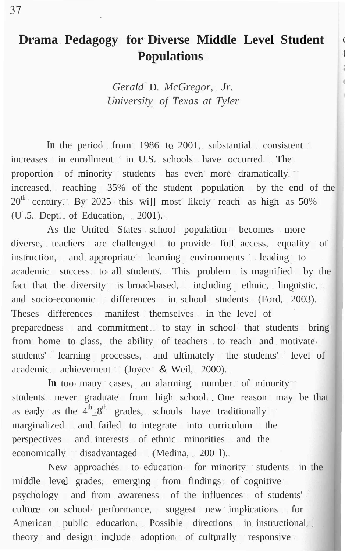# **Drama Pedagogy for Diverse Middle Level Student Populations**

*Gerald* D. *McGregor, Jr. University of Texas at Tyler*

**In** the period from 1986 to 2001, substantial consistent increases in enrollment in U.S. schools have occurred. The proportion of minority students has even more dramatically increased, reaching 35% of the student population by the end of the  $20<sup>th</sup>$  century. By 2025 this will most likely reach as high as 50% (U .5. Dept. of Education, 2001).

As the United States school population becomes more diverse, teachers are challenged to provide full access, equality of instruction, and appropriate learning environments leading to academic success to all students. This problem is magnified by the fact that the diversity is broad-based, including ethnic, linguistic, and socio-economic differences in school students (Ford, 2003). Theses differences manifest themselves in the level of preparedness and commitment. to stay in school that students bring from home to class, the ability of teachers to reach and motivate students' learning processes, and ultimately the students' level of academic achievement (Joyce & Weil, 2000).

In too many cases, an alarming number of minority students never graduate from high school. One reason may be that as early as the  $4^{\text{th}} - 8^{\text{th}}$  grades, schools have traditionally marginalized and failed to integrate into curriculum the perspectives and interests of ethnic minorities and the economically disadvantaged (Medina, 200 l).

New approaches to education for minority students in the middle level grades, emerging from findings of cognitive psychology and from awareness of the influences of students' culture on school performance, suggest new implications for American public education. Possible directions in instructional theory and design include adoption of culturally responsive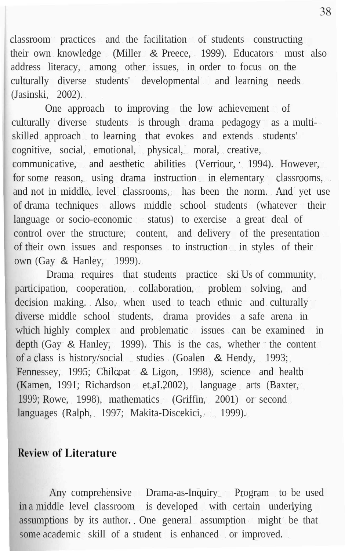classroom practices and the facilitation of students constructing their own knowledge (Miller & Preece, 1999). Educators must also address literacy, among other issues, in order to focus on the culturally diverse students' developmental and learning needs (Jasinski, 2002).

One approach to improving the low achievement of culturally diverse students is through drama pedagogy as a multiskilled approach to learning that evokes and extends students' cognitive, social, emotional, physical, moral, creative, communicative, and aesthetic abilities (Verriour, 1994). However, for some reason, using drama instruction in elementary classrooms, and not in middle level classrooms, has been the norm. And yet use of drama techniques allows middle school students (whatever their language or socio-economic status) to exercise a great deal of control over the structure, content, and delivery of the presentation of their own issues and responses to instruction in styles of their own (Gay & Hanley, 1999).

Drama requires that students practice ski Us of community, participation, cooperation, collaboration, problem solving, and decision making. Also, when used to teach ethnic and culturally diverse middle school students, drama provides a safe arena in which highly complex and problematic issues can be examined in depth (Gay  $\&$  Hanley, 1999). This is the cas, whether the content of a class is history/social studies (Goalen & Hendy, 1993; Fennessey, 1995; Chilcoat & Ligon, 1998), science and health (Kamen, 1991; Richardson et.aI.2002), language arts (Baxter, 1999; Rowe, 1998), mathematics (Griffin, 2001) or second languages (Ralph, 1997; Makita-Discekici, 1999).

### **Review of Literature**

Any comprehensive Drama-as-Inquiry Program to be used in a middle level classroom is developed with certain underlying assumptions by its author. One general assumption might be that some academic skill of a student is enhanced or improved.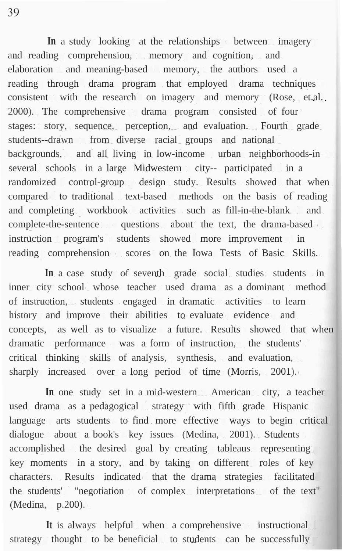**In** a study looking at the relationships between imagery and reading comprehension, memory and cognition, and elaboration and meaning-based memory, the authors used a reading through drama program that employed drama techniques consistent with the research on imagery and memory (Rose, et.al., 2000). The comprehensive drama program consisted of four stages: story, sequence, perception, and evaluation. Fourth grade students--drawn from diverse racial groups and national backgrounds, and all living in low-income urban neighborhoods-in several schools in a large Midwestern city--- participated in a randomized control-group design study. Results showed that when compared to traditional text-based methods on the basis of reading and completing workbook activities such as fill-in-the-blank and complete-the-sentence questions about the text, the drama-based instruction program's students showed more improvement in reading comprehension scores on the Iowa Tests of Basic Skills.

**In** a case study of seventh grade social studies students in inner city school whose teacher used drama as a dominant method of instruction, students engaged in dramatic activities to learn history and improve their abilities to evaluate evidence and concepts, as well as to visualize a future. Results showed that when dramatic performance was a form of instruction, the students' critical thinking skills of analysis, synthesis, and evaluation, sharply increased over a long period of time (Morris, 2001).

In one study set in a mid-western American city, a teacher used drama as a pedagogical strategy with fifth grade Hispanic language arts students to find more effective ways to begin critical dialogue about a book's key issues (Medina, 2001). Students accomplished the desired goal by creating tableaus representing key moments in a story, and by taking on different roles of key characters. Results indicated that the drama strategies facilitated the students' "negotiation of complex interpretations of the text" (Medina, p.200).

It is always helpful when a comprehensive instructional strategy thought to be beneficial to students can be successfully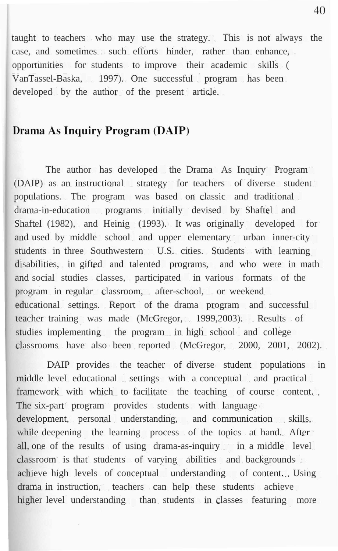taught to teachers who may use the strategy. This is not always the case, and sometimes such efforts hinder, rather than enhance, opportunities for students to improve their academic skills ( VanTassel-Baska, 1997). One successful program has been developed by the author of the present article.

# Drama As Inquiry Program (DAIP)

The author has developed the Drama As Inquiry Program (DAIP) as an instructional strategy for teachers of diverse student populations. The program was based on classic and traditional drama-in-education programs initially devised by Shaftel and Shaftel (1982), and Heinig (1993). It was originally developed for and used by middle school and upper elementary urban inner-city students in three Southwestern U.S. cities. Students with learning disabilities, in gifted and talented programs, and who were in math and social studies classes, participated in various formats of the program in regular classroom, after-school, or weekend educational settings. Report of the drama program and successful teacher training was made (McGregor, 1999,2003). Results of studies implementing the program in high school and college classrooms have also been reported (McGregor, 2000, 2001, 2002).

DAIP provides the teacher of diverse student populations in middle level educational settings with a conceptual and practical framework with which to facilitate the teaching of course content.. The six-part program provides students with language development, personal understanding, and communication skills, while deepening the learning process of the topics at hand. After all, one of the results of using drama-as-inquiry in a middle level classroom is that students of varying abilities and backgrounds achieve high levels of conceptual understanding of content. Using drama in instruction, teachers can help these students achieve higher level understanding than students in classes featuring more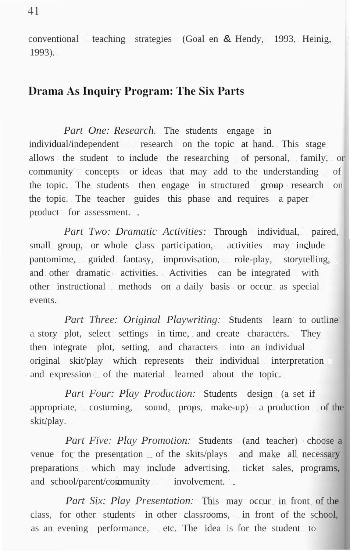conventional teaching strategies (Goal en & Hendy, 1993, Heinig, 1993).

### **Drama As Inquiry Program: The Six Parts**

*Part One: Research.* The students engage in individual/independent research on the topic at hand. This stage allows the student to include the researching of personal, family, or community concepts or ideas that may add to the understanding of the topic. The students then engage in structured group research on the topic. The teacher guides this phase and requires a paper product for assessment...

*Part Two: Dramatic Activities:* Through individual, paired, small group, or whole class participation, activities may include pantomime, guided fantasy, improvisation, role-play, storytelling, and other dramatic activities. Activities can be integrated with other instructional methods on a daily basis or occur as special events.

*Part Three: Original Playwriting:* Students learn to outline a story plot, select settings in time, and create characters. They then integrate plot, setting, and characters into an individual original skit/play which represents their individual interpretation and expression of the material learned about the topic.

*Part Four: Play Production:* Students design (a set if appropriate, costuming, sound, props, make-up) a production of the skit/play.

*Part Five: Play Promotion:* Students (and teacher) choose a venue for the presentation of the skits/plays and make all necessary preparations which may include advertising, ticket sales, programs, and school/parent/community involvement.

*Part Six: Play Presentation:* This may occur in front of the class, for other students in other classrooms, in front of the school, as an evening performance, etc. The idea is for the student to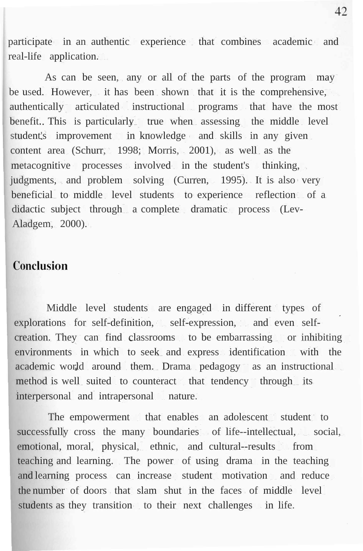participate in an authentic experience that combines academic and real-life application.

As can be seen, any or all of the parts of the program may be used. However, it has been shown that it is the comprehensive, authentically articulated instructional programs that have the most benefit. This is particularly true when assessing the middle level student's improvement in knowledge and skills in any given content area (Schurr, 1998; Morris, 2001), as well as the metacognitive processes involved in the student's thinking, judgments, and problem solving (Curren, 1995). It is also very beneficial to middle level students to experience reflection of a didactic subject through a complete dramatic process (Lev-Aladgem, 2000).

#### Conclusion

Middle level students are engaged in different types of explorations for self-definition, self-expression, and even selfcreation. They can find classrooms to be embarrassing or inhibiting environments in which to seek and express identification with the academic world around them. Drama pedagogy as an instructional method is well suited to counteract that tendency through its interpersonal and intrapersonal nature.

The empowerment that enables an adolescent student to successfully cross the many boundaries of life--intellectual, social, emotional, moral, physical, ethnic, and cultural--results from teaching and learning. The power of using drama in the teaching and learning process can increase student motivation and reduce the number of doors that slam shut in the faces of middle level students as they transition to their next challenges in life.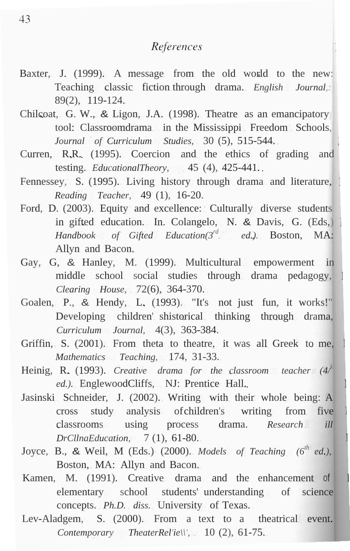## References

- Baxter, J. (1999). A message from the old world to the new: Teaching classic fiction through drama. *English Journal,:* 89(2), 119-124.
- Chilcoat, G. W., & Ligon, J.A. (1998). Theatre as an emancipatory tool: Classroomdrama in the Mississippi Freedom Schools, *Journal of Curriculum Studies,* 30 (5), 515-544.
- Curren, R.R. (1995). Coercion and the ethics of grading and testing. *EducationalTheory,* 45 (4), 425-441.
- Fennessey, S. (1995). Living history through drama and literature, *Reading Teacher,* 49 (1), 16-20.
- Ford, D. (2003). Equity and excellence: Culturally diverse students in gifted education. In. Colangelo, N. & Davis, G. (Eds,) *Handbook of Gifted Education(3rd . ed.).* Boston, MA: Allyn and Bacon.
- Gay, G, & Hanley, M. (1999). Multicultural empowerment in middle school social studies through drama pedagogy, *Clearing House,* 72(6), 364-370.
- Goalen, P., & Hendy, L. (1993). "It's not just fun, it works!" Developing children' shistorical thinking through drama, *Curriculum Journal,* 4(3), 363-384.
- Griffin, S. (2001). From theta to theatre, it was all Greek to me, *Mathematics Teaching,* 174, 31-33.
- Heinig, R. (1993). *Creative drama for the classroom teacher (4/ h ed.).* EnglewoodCliffs, NJ: Prentice Hall.
- Jasinski Schneider, J. (2002). Writing with their whole being: A cross study analysis ofchildren's writing from five classrooms using process drama. *Research ill DrCllnaEducation,* 7 (1), 61-80.
- Joyce, B., & Weil, M (Eds.) (2000). *Models of Teaching (6th ed.),* Boston, MA: Allyn and Bacon.
- Kamen, M. (1991). Creative drama and the enhancement of elementary school students' understanding of science concepts. *Ph.D. diss.* University of Texas.
- Lev-Aladgem, S. (2000). From a text to a theatrical event. *Contemporary TheaterRel'ie\\',* 10 (2), 61-75.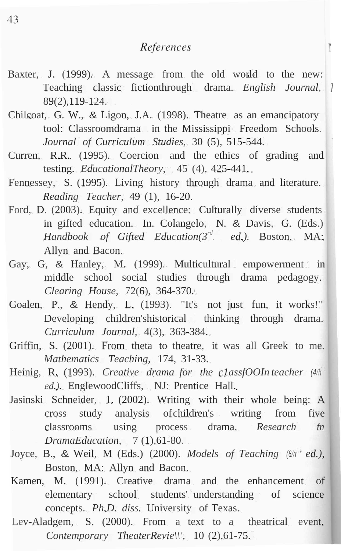#### References

 $\mathbf{r}$ 

- Baxter, J. (1999). A message from the old world to the new: Teaching classic fictionthrough drama. *English Journal, ]* 89(2),119-124.
- Chilcoat, G. W., & Ligon, J.A. (1998). Theatre as an emancipatory tool: Classroomdrama in the Mississippi Freedom Schools. *Journal of Curriculum Studies,* 30 (5), 515-544.
- Curren, R.R. (1995). Coercion and the ethics of grading and testing. *EducationalTheory,* 45 (4), 425-441.
- Fennessey, S. (1995). Living history through drama and literature. *Reading Teacher,* 49 (1), 16-20.
- Ford, D. (2003). Equity and excellence: Culturally diverse students in gifted education. In. Colangelo, N. & Davis, G. (Eds.) *Handbook of Gifted Education(3rd . ed.).* Boston, MA: Allyn and Bacon.
- Gay, G, & Hanley, M. (1999). Multicultural empowerment in middle school social studies through drama pedagogy. *Clearing House,* 72(6), 364-370.
- Goalen, P., & Hendy, L. (1993). "It's not just fun, it works!" Developing children'shistorical thinking through drama. *Curriculum Journal,* 4(3), 363-384.
- Griffin, S. (2001). From theta to theatre, it was all Greek to me. *Mathematics Teaching,* 174, 31-33.
- Heinig, R. (1993). *Creative drama for the c1assfOOIn teacher (4/h* ed.). EnglewoodCliffs, NJ: Prentice Hall.
- Jasinski Schneider, 1. (2002). Writing with their whole being: A cross study analysis ofchildren's writing from five classrooms using process drama. *Research tn DramaEducation,* 7 (1), 61-80.
- Joyce, B., & Weil, M (Eds.) (2000). *Models of Teaching (6//r ed.),* Boston, MA: Allyn and Bacon.
- Kamen, M. (1991). Creative drama and the enhancement of elementary school students' understanding of science concepts. *Ph.D. diss.* University of Texas.
- Lev-Aladgem, S. (2000). From a text to a theatrical event. *Contemporary TheaterRevie\\',* 10 (2),61-75.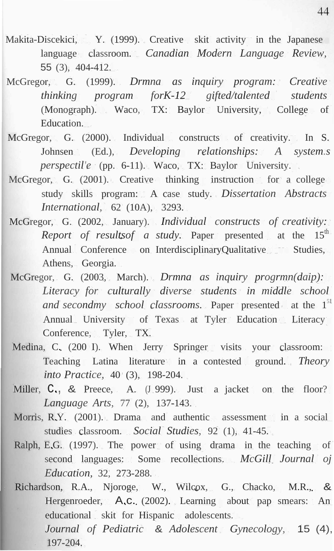- Makita-Discekici, Y. (1999). Creative skit activity in the Japanese language classroom. *Canadian Modern Language Review,* 55 (3), 404-412.
- McGregor, G. (1999). *Drmna as inquiry program: Creative thinking program forK-12 gifted/talented students* (Monograph). Waco, TX: Baylor University, College of Education.
- McGregor, G. (2000). Individual constructs of creativity. In S. Johnsen (Ed.), *Developing relationships: A system.s perspectil'e* (pp. 6-11). Waco, TX: Baylor University.
- McGregor, G. (2001). Creative thinking instruction for a college study skills program: A case study. *Dissertation Abstracts International,* 62 (10A), 3293.
- McGregor, G. (2002, January). *Individual constructs of creativity: Report of resultsof a study*. Paper presented at the  $15<sup>th</sup>$ Annual Conference on InterdisciplinaryQualitative Studies, Athens, Georgia.
- McGregor, G. (2003, March). *Drmna as inquiry progrmn(daip): Literacy for culturally diverse students in middle school and secondmy school classrooms.* Paper presented at the 1 51 Annual University of Texas at Tyler Education Literacy Conference, Tyler, TX.
- Medina, C. (200 I). When Jerry Springer visits your classroom: Teaching Latina literature in a contested ground. *Theory into Practice,* 40 (3), 198-204.
- Miller, C., & Preece, A. (J.999). Just a jacket on the floor? *Language Arts,* 77 (2), 137-143.
- Morris, R.Y. (2001). Drama and authentic assessment in a social studies classroom. *Social Studies,* 92 (1), 41-45.
- Ralph, E.G. (1997). The power of using drama in the teaching of second languages: Some recollections. *McGill Journal oj Education,* 32, 273-288.
- Richardson, R.A., Njoroge, W., Wilcox, G., Chacko, M.R., & Hergenroeder, A.c. (2002). Learning about pap smears: An educational skit for Hispanic adolescents. *Journal of Pediatric* & *Adolescent Gynecology,* 15 (4), 197-204.